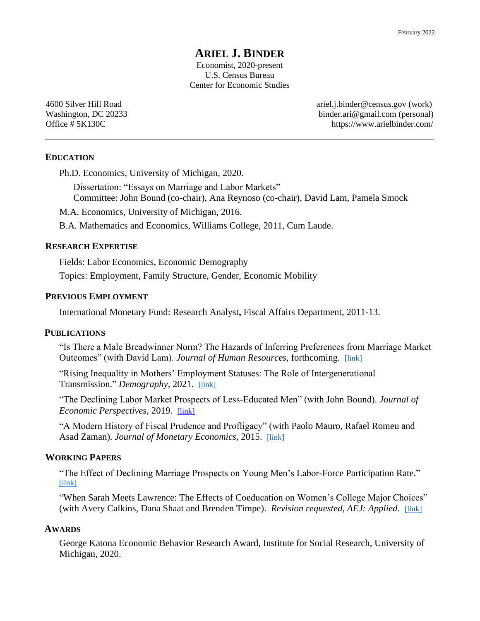# **ARIEL J. BINDER**

Economist, 2020-present U.S. Census Bureau Center for Economic Studies

4600 Silver Hill Road [ariel.j.binder@census.gov](mailto:ariel.j.binder@census.gov) (work) Washington, DC 20233 [binder.ari@gmail.com](mailto:binder.ari@gmail.com) (personal) Office # 5K130C <https://www.arielbinder.com/>

## **EDUCATION**

Ph.D. Economics, University of Michigan, 2020.

Dissertation: "Essays on Marriage and Labor Markets" Committee: John Bound (co-chair), Ana Reynoso (co-chair), David Lam, Pamela Smock

M.A. Economics, University of Michigan, 2016.

B.A. Mathematics and Economics, Williams College, 2011, Cum Laude.

#### **RESEARCH EXPERTISE**

Fields: Labor Economics, Economic Demography

Topics: Employment, Family Structure, Gender, Economic Mobility

### **PREVIOUS EMPLOYMENT**

International Monetary Fund: Research Analyst**,** Fiscal Affairs Department, 2011-13.

### **PUBLICATIONS**

"Is There a Male Breadwinner Norm? The Hazards of Inferring Preferences from Marriage Market Outcomes" (with David Lam). *Journal of Human Resources*, forthcoming. [\[link\]](http://jhr.uwpress.org/content/early/2020/09/01/jhr.58.2.0320-10803R1.full.pdf+html)

"Rising Inequality in Mothers' Employment Statuses: The Role of Intergenerational Transmission." *Demography*, 2021. [\[link\]](https://read.dukeupress.edu/demography/article/58/4/1223/174077/Rising-Inequality-in-Mothers-Employment-Statuses)

"The Declining Labor Market Prospects of Less-Educated Men" (with John Bound). *Journal of Economic Perspectives, 2019.* [\[link\]](https://pubs.aeaweb.org/doi/pdfplus/10.1257/jep.33.2.163)

"A Modern History of Fiscal Prudence and Profligacy" (with Paolo Mauro, Rafael Romeu and Asad Zaman). *Journal of Monetary Economics*, 2015. [\[link\]](https://www.sciencedirect.com/science/article/pii/S0304393215000938?casa_token=mTU-2anVkIMAAAAA:hHy6ha9IizBBmGqNNeCs9MqD3aPq-_YXr08SMBg-tFdts2dZL1tfgTcRJtk0fFk3qRyabKYpsAc)

### **WORKING PAPERS**

"The Effect of Declining Marriage Prospects on Young Men's Labor-Force Participation Rate." [\[link\]](https://papers.ssrn.com/sol3/papers.cfm?abstract_id=3795585)

"When Sarah Meets Lawrence: The Effects of Coeducation on Women's College Major Choices" (with Avery Calkins, Dana Shaat and Brenden Timpe). *Revision requested, AEJ: Applied.* [\[link\]](https://www.rand.org/pubs/working_papers/WRA1060-1.html) 

## **AWARDS**

George Katona Economic Behavior Research Award, Institute for Social Research, University of Michigan, 2020.